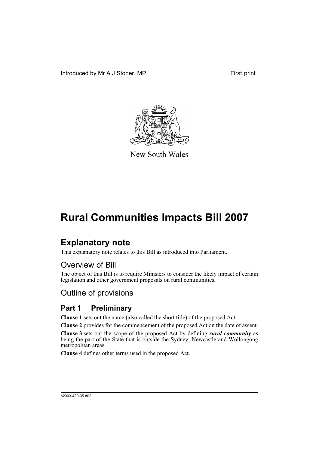Introduced by Mr A J Stoner, MP First print



New South Wales

# **Rural Communities Impacts Bill 2007**

# **Explanatory note**

This explanatory note relates to this Bill as introduced into Parliament.

# Overview of Bill

The object of this Bill is to require Ministers to consider the likely impact of certain legislation and other government proposals on rural communities.

# Outline of provisions

# **Part 1 Preliminary**

**Clause 1** sets out the name (also called the short title) of the proposed Act.

**Clause 2** provides for the commencement of the proposed Act on the date of assent.

**Clause 3** sets out the scope of the proposed Act by defining *rural community* as being the part of the State that is outside the Sydney, Newcastle and Wollongong metropolitan areas.

**Clause 4** defines other terms used in the proposed Act.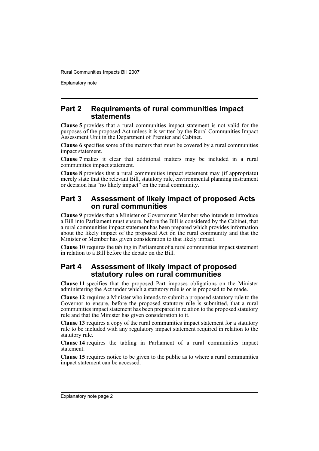Explanatory note

## **Part 2 Requirements of rural communities impact statements**

**Clause 5** provides that a rural communities impact statement is not valid for the purposes of the proposed Act unless it is written by the Rural Communities Impact Assessment Unit in the Department of Premier and Cabinet.

**Clause 6** specifies some of the matters that must be covered by a rural communities impact statement.

**Clause 7** makes it clear that additional matters may be included in a rural communities impact statement.

**Clause 8** provides that a rural communities impact statement may (if appropriate) merely state that the relevant Bill, statutory rule, environmental planning instrument or decision has "no likely impact" on the rural community.

# **Part 3 Assessment of likely impact of proposed Acts on rural communities**

**Clause 9** provides that a Minister or Government Member who intends to introduce a Bill into Parliament must ensure, before the Bill is considered by the Cabinet, that a rural communities impact statement has been prepared which provides information about the likely impact of the proposed Act on the rural community and that the Minister or Member has given consideration to that likely impact.

**Clause 10** requires the tabling in Parliament of a rural communities impact statement in relation to a Bill before the debate on the Bill.

## **Part 4 Assessment of likely impact of proposed statutory rules on rural communities**

**Clause 11** specifies that the proposed Part imposes obligations on the Minister administering the Act under which a statutory rule is or is proposed to be made.

**Clause 12** requires a Minister who intends to submit a proposed statutory rule to the Governor to ensure, before the proposed statutory rule is submitted, that a rural communities impact statement has been prepared in relation to the proposed statutory rule and that the Minister has given consideration to it.

**Clause 13** requires a copy of the rural communities impact statement for a statutory rule to be included with any regulatory impact statement required in relation to the statutory rule.

**Clause 14** requires the tabling in Parliament of a rural communities impact statement.

**Clause 15** requires notice to be given to the public as to where a rural communities impact statement can be accessed.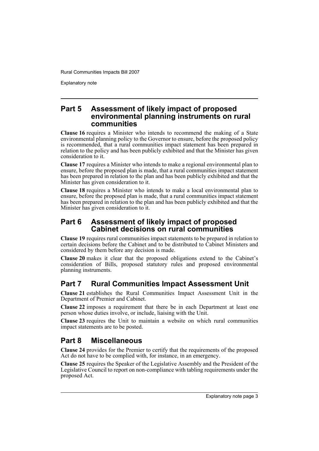Explanatory note

## **Part 5 Assessment of likely impact of proposed environmental planning instruments on rural communities**

**Clause 16** requires a Minister who intends to recommend the making of a State environmental planning policy to the Governor to ensure, before the proposed policy is recommended, that a rural communities impact statement has been prepared in relation to the policy and has been publicly exhibited and that the Minister has given consideration to it.

**Clause 17** requires a Minister who intends to make a regional environmental plan to ensure, before the proposed plan is made, that a rural communities impact statement has been prepared in relation to the plan and has been publicly exhibited and that the Minister has given consideration to it.

**Clause 18** requires a Minister who intends to make a local environmental plan to ensure, before the proposed plan is made, that a rural communities impact statement has been prepared in relation to the plan and has been publicly exhibited and that the Minister has given consideration to it.

# **Part 6 Assessment of likely impact of proposed Cabinet decisions on rural communities**

**Clause 19** requires rural communities impact statements to be prepared in relation to certain decisions before the Cabinet and to be distributed to Cabinet Ministers and considered by them before any decision is made.

**Clause 20** makes it clear that the proposed obligations extend to the Cabinet's consideration of Bills, proposed statutory rules and proposed environmental planning instruments.

# **Part 7 Rural Communities Impact Assessment Unit**

**Clause 21** establishes the Rural Communities Impact Assessment Unit in the Department of Premier and Cabinet.

**Clause 22** imposes a requirement that there be in each Department at least one person whose duties involve, or include, liaising with the Unit.

**Clause 23** requires the Unit to maintain a website on which rural communities impact statements are to be posted.

# **Part 8 Miscellaneous**

**Clause 24** provides for the Premier to certify that the requirements of the proposed Act do not have to be complied with, for instance, in an emergency.

**Clause 25** requires the Speaker of the Legislative Assembly and the President of the Legislative Council to report on non-compliance with tabling requirements under the proposed Act.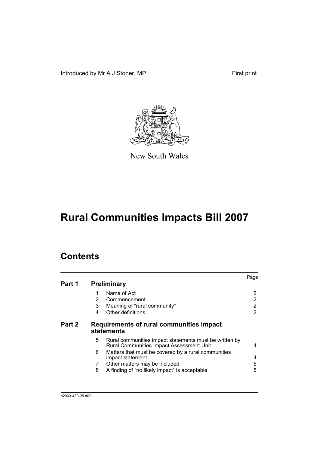Introduced by Mr A J Stoner, MP First print



New South Wales

# **Rural Communities Impacts Bill 2007**

# **Contents**

|        |                                                                                                         | Page |
|--------|---------------------------------------------------------------------------------------------------------|------|
| Part 1 | <b>Preliminary</b>                                                                                      |      |
|        | Name of Act                                                                                             | 2    |
|        | 2<br>Commencement                                                                                       | 2    |
|        | 3<br>Meaning of "rural community"                                                                       | 2    |
|        | Other definitions<br>4                                                                                  | 2    |
| Part 2 | Requirements of rural communities impact<br>statements                                                  |      |
|        | 5<br>Rural communities impact statements must be written by<br>Rural Communities Impact Assessment Unit | 4    |
|        | Matters that must be covered by a rural communities<br>6<br>impact statement                            | 4    |
|        | Other matters may be included<br>7                                                                      | 5    |
|        | A finding of "no likely impact" is acceptable<br>8                                                      | 5    |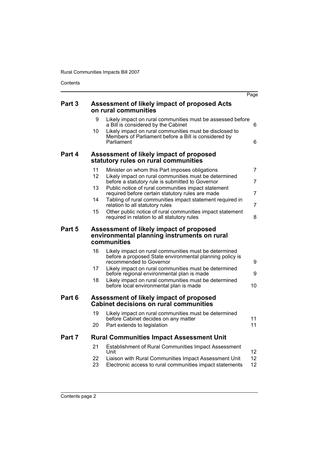Contents

|                       |                                                                                                                   | Page                                                                                                                                                                                                                                                                                                                                                                                                                                                                                                                                                                                                                                                                                                                                                              |
|-----------------------|-------------------------------------------------------------------------------------------------------------------|-------------------------------------------------------------------------------------------------------------------------------------------------------------------------------------------------------------------------------------------------------------------------------------------------------------------------------------------------------------------------------------------------------------------------------------------------------------------------------------------------------------------------------------------------------------------------------------------------------------------------------------------------------------------------------------------------------------------------------------------------------------------|
|                       |                                                                                                                   |                                                                                                                                                                                                                                                                                                                                                                                                                                                                                                                                                                                                                                                                                                                                                                   |
| 9                     | a Bill is considered by the Cabinet                                                                               | 6                                                                                                                                                                                                                                                                                                                                                                                                                                                                                                                                                                                                                                                                                                                                                                 |
|                       | Members of Parliament before a Bill is considered by<br>Parliament                                                | 6                                                                                                                                                                                                                                                                                                                                                                                                                                                                                                                                                                                                                                                                                                                                                                 |
|                       |                                                                                                                   |                                                                                                                                                                                                                                                                                                                                                                                                                                                                                                                                                                                                                                                                                                                                                                   |
| 11<br>12 <sup>2</sup> | Minister on whom this Part imposes obligations<br>Likely impact on rural communities must be determined           | $\overline{7}$                                                                                                                                                                                                                                                                                                                                                                                                                                                                                                                                                                                                                                                                                                                                                    |
| 13                    | before a statutory rule is submitted to Governor<br>Public notice of rural communities impact statement           | 7                                                                                                                                                                                                                                                                                                                                                                                                                                                                                                                                                                                                                                                                                                                                                                 |
| 14                    | Tabling of rural communities impact statement required in                                                         | 7<br>$\overline{7}$                                                                                                                                                                                                                                                                                                                                                                                                                                                                                                                                                                                                                                                                                                                                               |
| 15                    | Other public notice of rural communities impact statement<br>required in relation to all statutory rules          | 8                                                                                                                                                                                                                                                                                                                                                                                                                                                                                                                                                                                                                                                                                                                                                                 |
|                       |                                                                                                                   |                                                                                                                                                                                                                                                                                                                                                                                                                                                                                                                                                                                                                                                                                                                                                                   |
| 16                    | Likely impact on rural communities must be determined<br>before a proposed State environmental planning policy is | 9                                                                                                                                                                                                                                                                                                                                                                                                                                                                                                                                                                                                                                                                                                                                                                 |
| 17                    | Likely impact on rural communities must be determined                                                             | 9                                                                                                                                                                                                                                                                                                                                                                                                                                                                                                                                                                                                                                                                                                                                                                 |
| 18                    | Likely impact on rural communities must be determined<br>before local environmental plan is made                  | 10                                                                                                                                                                                                                                                                                                                                                                                                                                                                                                                                                                                                                                                                                                                                                                |
|                       |                                                                                                                   |                                                                                                                                                                                                                                                                                                                                                                                                                                                                                                                                                                                                                                                                                                                                                                   |
| 19                    | Likely impact on rural communities must be determined<br>before Cabinet decides on any matter                     | 11                                                                                                                                                                                                                                                                                                                                                                                                                                                                                                                                                                                                                                                                                                                                                                |
| 20                    | Part extends to legislation                                                                                       | 11                                                                                                                                                                                                                                                                                                                                                                                                                                                                                                                                                                                                                                                                                                                                                                |
|                       |                                                                                                                   |                                                                                                                                                                                                                                                                                                                                                                                                                                                                                                                                                                                                                                                                                                                                                                   |
| 21                    | Establishment of Rural Communities Impact Assessment<br>Unit                                                      | 12                                                                                                                                                                                                                                                                                                                                                                                                                                                                                                                                                                                                                                                                                                                                                                |
| 22<br>23              | Electronic access to rural communities impact statements                                                          | 12 <sup>2</sup><br>12                                                                                                                                                                                                                                                                                                                                                                                                                                                                                                                                                                                                                                                                                                                                             |
|                       | 10                                                                                                                | Assessment of likely impact of proposed Acts<br>on rural communities<br>Likely impact on rural communities must be assessed before<br>Likely impact on rural communities must be disclosed to<br>Assessment of likely impact of proposed<br>statutory rules on rural communities<br>required before certain statutory rules are made<br>relation to all statutory rules<br>Assessment of likely impact of proposed<br>environmental planning instruments on rural<br>communities<br>recommended to Governor<br>before regional environmental plan is made<br>Assessment of likely impact of proposed<br><b>Cabinet decisions on rural communities</b><br><b>Rural Communities Impact Assessment Unit</b><br>Liaison with Rural Communities Impact Assessment Unit |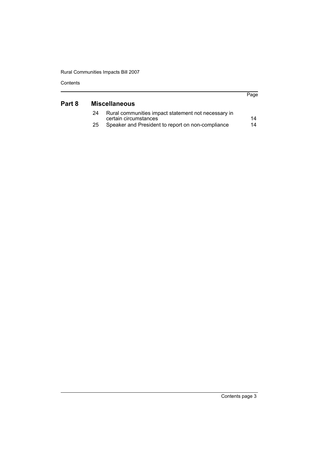| Contents |  |
|----------|--|
|----------|--|

| Part 8 |    | <b>Miscellaneous</b>                                                         | Page |
|--------|----|------------------------------------------------------------------------------|------|
|        | 24 | Rural communities impact statement not necessary in<br>certain circumstances | 14   |
|        | 25 | Speaker and President to report on non-compliance                            | 14   |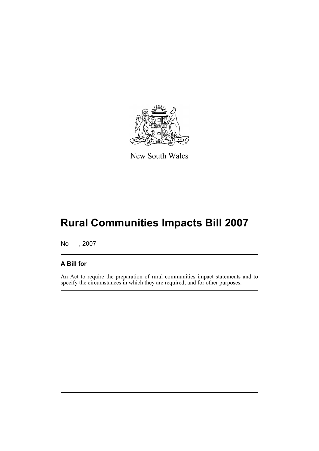

New South Wales

# **Rural Communities Impacts Bill 2007**

No , 2007

# **A Bill for**

An Act to require the preparation of rural communities impact statements and to specify the circumstances in which they are required; and for other purposes.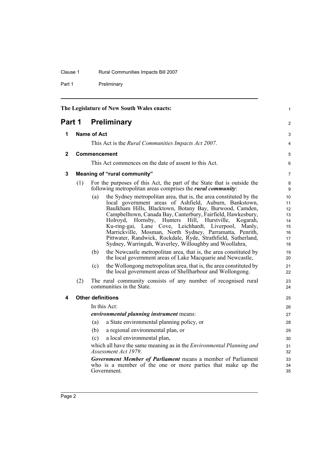#### Clause 1 Rural Communities Impacts Bill 2007

Part 1 Preliminary

<span id="page-9-4"></span><span id="page-9-3"></span><span id="page-9-2"></span><span id="page-9-1"></span><span id="page-9-0"></span>

| The Legislature of New South Wales enacts: |     |                     | 1                                                                                                                                                                                                                                                                                                                                                                                                                                                                                                                                                                        |                                                                 |
|--------------------------------------------|-----|---------------------|--------------------------------------------------------------------------------------------------------------------------------------------------------------------------------------------------------------------------------------------------------------------------------------------------------------------------------------------------------------------------------------------------------------------------------------------------------------------------------------------------------------------------------------------------------------------------|-----------------------------------------------------------------|
| Part 1                                     |     |                     | <b>Preliminary</b>                                                                                                                                                                                                                                                                                                                                                                                                                                                                                                                                                       | $\overline{c}$                                                  |
| 1                                          |     | Name of Act         |                                                                                                                                                                                                                                                                                                                                                                                                                                                                                                                                                                          | 3                                                               |
|                                            |     |                     | This Act is the Rural Communities Impacts Act 2007.                                                                                                                                                                                                                                                                                                                                                                                                                                                                                                                      | 4                                                               |
| $\mathbf{2}$                               |     | <b>Commencement</b> |                                                                                                                                                                                                                                                                                                                                                                                                                                                                                                                                                                          | 5                                                               |
|                                            |     |                     | This Act commences on the date of assent to this Act.                                                                                                                                                                                                                                                                                                                                                                                                                                                                                                                    | 6                                                               |
| 3                                          |     |                     | <b>Meaning of "rural community"</b>                                                                                                                                                                                                                                                                                                                                                                                                                                                                                                                                      | $\overline{7}$                                                  |
|                                            | (1) |                     | For the purposes of this Act, the part of the State that is outside the<br>following metropolitan areas comprises the <i>rural community</i> .                                                                                                                                                                                                                                                                                                                                                                                                                           | 8<br>9                                                          |
|                                            |     | (a)                 | the Sydney metropolitan area, that is, the area constituted by the<br>local government areas of Ashfield, Auburn, Bankstown,<br>Baulkham Hills, Blacktown, Botany Bay, Burwood, Camden,<br>Campbelltown, Canada Bay, Canterbury, Fairfield, Hawkesbury,<br>Holroyd, Hornsby, Hunters Hill, Hurstville,<br>Kogarah,<br>Lane Cove, Leichhardt, Liverpool,<br>Ku-ring-gai,<br>Manly,<br>Marrickville, Mosman, North Sydney, Parramatta, Penrith,<br>Pittwater, Randwick, Rockdale, Ryde, Strathfield, Sutherland,<br>Sydney, Warringah, Waverley, Willoughby and Woollahra, | 10 <sup>1</sup><br>11<br>12<br>13<br>14<br>15<br>16<br>17<br>18 |
|                                            |     | (b)                 | the Newcastle metropolitan area, that is, the area constituted by<br>the local government areas of Lake Macquarie and Newcastle,                                                                                                                                                                                                                                                                                                                                                                                                                                         | 19<br>20                                                        |
|                                            |     | (c)                 | the Wollongong metropolitan area, that is, the area constituted by<br>the local government areas of Shellharbour and Wollongong.                                                                                                                                                                                                                                                                                                                                                                                                                                         | 21<br>22                                                        |
|                                            | (2) |                     | The rural community consists of any number of recognised rural<br>communities in the State.                                                                                                                                                                                                                                                                                                                                                                                                                                                                              | 23<br>24                                                        |
| 4                                          |     |                     | <b>Other definitions</b>                                                                                                                                                                                                                                                                                                                                                                                                                                                                                                                                                 | 25                                                              |
|                                            |     |                     | In this Act:                                                                                                                                                                                                                                                                                                                                                                                                                                                                                                                                                             | 26                                                              |
|                                            |     |                     | environmental planning instrument means:                                                                                                                                                                                                                                                                                                                                                                                                                                                                                                                                 | 27                                                              |
|                                            |     | (a)                 | a State environmental planning policy, or                                                                                                                                                                                                                                                                                                                                                                                                                                                                                                                                | 28                                                              |
|                                            |     | (b)                 | a regional environmental plan, or                                                                                                                                                                                                                                                                                                                                                                                                                                                                                                                                        | 29                                                              |
|                                            |     | (c)                 | a local environmental plan,                                                                                                                                                                                                                                                                                                                                                                                                                                                                                                                                              | 30                                                              |
|                                            |     |                     | which all have the same meaning as in the <i>Environmental Planning and</i><br>Assessment Act 1979.                                                                                                                                                                                                                                                                                                                                                                                                                                                                      | 31<br>32                                                        |
|                                            |     |                     | <b>Government Member of Parliament</b> means a member of Parliament<br>who is a member of the one or more parties that make up the<br>Government.                                                                                                                                                                                                                                                                                                                                                                                                                        | 33<br>34<br>35                                                  |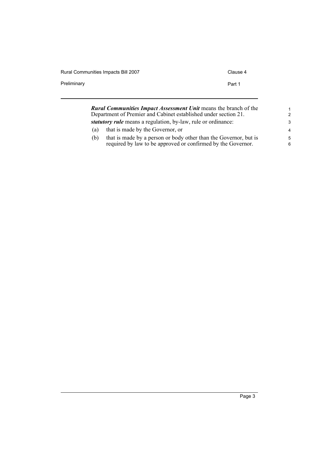| Rural Communities Impacts Bill 2007 | Clause 4 |
|-------------------------------------|----------|
| Preliminary                         | Part 1   |
|                                     |          |

| <b>Rural Communities Impact Assessment Unit means the branch of the</b><br>Department of Premier and Cabinet established under section 21. |                                                                      | $\mathbf 1$<br>2 |
|--------------------------------------------------------------------------------------------------------------------------------------------|----------------------------------------------------------------------|------------------|
|                                                                                                                                            | <i>statutory rule</i> means a regulation, by-law, rule or ordinance: | -3               |
| (a)                                                                                                                                        | that is made by the Governor, or                                     | $\overline{4}$   |
| (b)                                                                                                                                        | that is made by a person or body other than the Governor, but is     | .5               |
|                                                                                                                                            | required by law to be approved or confirmed by the Governor.         | 6                |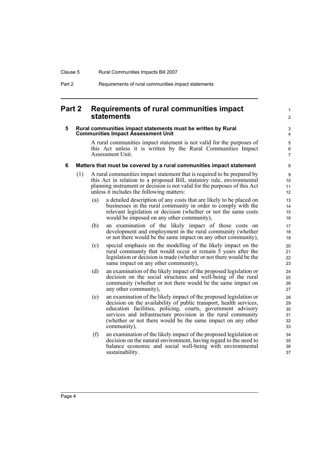## <span id="page-11-0"></span>**Part 2 Requirements of rural communities impact statements**

#### <span id="page-11-1"></span>**5 Rural communities impact statements must be written by Rural Communities Impact Assessment Unit**

A rural communities impact statement is not valid for the purposes of this Act unless it is written by the Rural Communities Impact Assessment Unit.

1  $\mathfrak{p}$ 

#### <span id="page-11-2"></span>**6 Matters that must be covered by a rural communities impact statement**

- (1) A rural communities impact statement that is required to be prepared by this Act in relation to a proposed Bill, statutory rule, environmental planning instrument or decision is not valid for the purposes of this Act unless it includes the following matters:
	- (a) a detailed description of any costs that are likely to be placed on businesses in the rural community in order to comply with the relevant legislation or decision (whether or not the same costs would be imposed on any other community),
	- (b) an examination of the likely impact of those costs on development and employment in the rural community (whether or not there would be the same impact on any other community),
	- (c) special emphasis on the modelling of the likely impact on the rural community that would occur or remain 5 years after the legislation or decision is made (whether or not there would be the same impact on any other community),
	- (d) an examination of the likely impact of the proposed legislation or decision on the social structures and well-being of the rural community (whether or not there would be the same impact on any other community),
	- (e) an examination of the likely impact of the proposed legislation or decision on the availability of public transport, health services, education facilities, policing, courts, government advisory services and infrastructure provision in the rural community (whether or not there would be the same impact on any other community),
	- (f) an examination of the likely impact of the proposed legislation or decision on the natural environment, having regard to the need to balance economic and social well-being with environmental sustainability.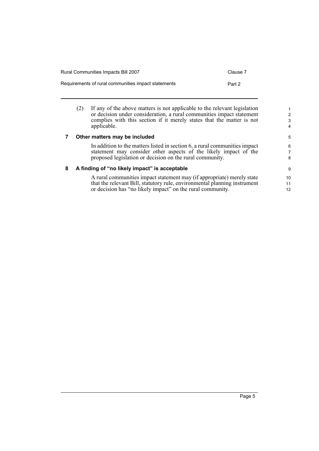| Rural Communities Impacts Bill 2007                 | Clause 7 |
|-----------------------------------------------------|----------|
| Requirements of rural communities impact statements | Part 2   |

(2) If any of the above matters is not applicable to the relevant legislation or decision under consideration, a rural communities impact statement complies with this section if it merely states that the matter is not applicable.

#### <span id="page-12-0"></span>**7 Other matters may be included**

In addition to the matters listed in section 6, a rural communities impact statement may consider other aspects of the likely impact of the proposed legislation or decision on the rural community.

#### <span id="page-12-1"></span>**8 A finding of "no likely impact" is acceptable**

A rural communities impact statement may (if appropriate) merely state that the relevant Bill, statutory rule, environmental planning instrument or decision has "no likely impact" on the rural community.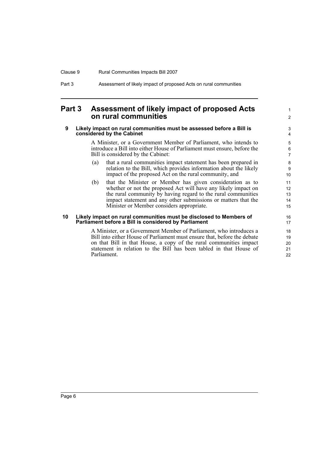### Clause 9 Rural Communities Impacts Bill 2007

| Part 3<br>Assessment of likely impact of proposed Acts on rural communities |  |
|-----------------------------------------------------------------------------|--|
|-----------------------------------------------------------------------------|--|

# <span id="page-13-0"></span>**Part 3 Assessment of likely impact of proposed Acts on rural communities**

#### <span id="page-13-1"></span>**9 Likely impact on rural communities must be assessed before a Bill is considered by the Cabinet**

A Minister, or a Government Member of Parliament, who intends to introduce a Bill into either House of Parliament must ensure, before the Bill is considered by the Cabinet:

1 2

- (a) that a rural communities impact statement has been prepared in relation to the Bill, which provides information about the likely impact of the proposed Act on the rural community, and
- (b) that the Minister or Member has given consideration as to whether or not the proposed Act will have any likely impact on the rural community by having regard to the rural communities impact statement and any other submissions or matters that the Minister or Member considers appropriate.

#### <span id="page-13-2"></span>**10 Likely impact on rural communities must be disclosed to Members of Parliament before a Bill is considered by Parliament**

A Minister, or a Government Member of Parliament, who introduces a Bill into either House of Parliament must ensure that, before the debate on that Bill in that House, a copy of the rural communities impact statement in relation to the Bill has been tabled in that House of Parliament.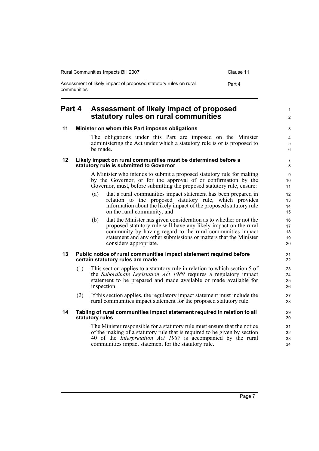| Rural Communities Impacts Bill 2007                                             | Clause 11 |
|---------------------------------------------------------------------------------|-----------|
| Assessment of likely impact of proposed statutory rules on rural<br>communities | Part 4    |

# <span id="page-14-0"></span>**Part 4 Assessment of likely impact of proposed statutory rules on rural communities**

<span id="page-14-4"></span><span id="page-14-3"></span>communities impact statement for the statutory rule.

#### <span id="page-14-2"></span><span id="page-14-1"></span>**11 Minister on whom this Part imposes obligations** The obligations under this Part are imposed on the Minister administering the Act under which a statutory rule is or is proposed to be made. **12 Likely impact on rural communities must be determined before a statutory rule is submitted to Governor** A Minister who intends to submit a proposed statutory rule for making by the Governor, or for the approval of or confirmation by the Governor, must, before submitting the proposed statutory rule, ensure: (a) that a rural communities impact statement has been prepared in relation to the proposed statutory rule, which provides information about the likely impact of the proposed statutory rule on the rural community, and (b) that the Minister has given consideration as to whether or not the proposed statutory rule will have any likely impact on the rural community by having regard to the rural communities impact statement and any other submissions or matters that the Minister considers appropriate. **13 Public notice of rural communities impact statement required before certain statutory rules are made** (1) This section applies to a statutory rule in relation to which section 5 of the *Subordinate Legislation Act 1989* requires a regulatory impact statement to be prepared and made available or made available for inspection. (2) If this section applies, the regulatory impact statement must include the rural communities impact statement for the proposed statutory rule. **14 Tabling of rural communities impact statement required in relation to all statutory rules** The Minister responsible for a statutory rule must ensure that the notice of the making of a statutory rule that is required to be given by section 40 of the *Interpretation Act 1987* is accompanied by the rural 3 4 5 6 7 8  $\alpha$ 10 11 12 13 14 15 16 17 18 19  $20$ 21 22  $23$ 24 25  $26$ 27 28 29 30 31 32 33

1  $\mathfrak{p}$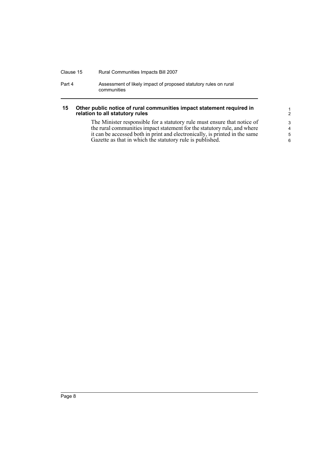#### Clause 15 Rural Communities Impacts Bill 2007

Part 4 Assessment of likely impact of proposed statutory rules on rural communities

#### <span id="page-15-0"></span>**15 Other public notice of rural communities impact statement required in relation to all statutory rules**

The Minister responsible for a statutory rule must ensure that notice of the rural communities impact statement for the statutory rule, and where it can be accessed both in print and electronically, is printed in the same Gazette as that in which the statutory rule is published.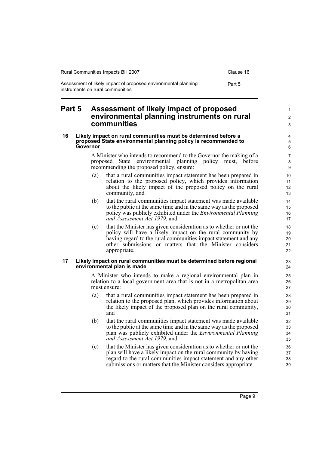| Rural Communities Impacts Bill 2007                                                                | Clause 16 |
|----------------------------------------------------------------------------------------------------|-----------|
| Assessment of likely impact of proposed environmental planning<br>instruments on rural communities | Part 5    |

## <span id="page-16-0"></span>**Part 5 Assessment of likely impact of proposed environmental planning instruments on rural communities**

#### <span id="page-16-1"></span>**16 Likely impact on rural communities must be determined before a proposed State environmental planning policy is recommended to Governor**

A Minister who intends to recommend to the Governor the making of a proposed State environmental planning policy must, before recommending the proposed policy, ensure:

- (a) that a rural communities impact statement has been prepared in relation to the proposed policy, which provides information about the likely impact of the proposed policy on the rural community, and
- (b) that the rural communities impact statement was made available to the public at the same time and in the same way as the proposed policy was publicly exhibited under the *Environmental Planning and Assessment Act 1979*, and
- (c) that the Minister has given consideration as to whether or not the policy will have a likely impact on the rural community by having regard to the rural communities impact statement and any other submissions or matters that the Minister considers appropriate.

#### <span id="page-16-2"></span>**17 Likely impact on rural communities must be determined before regional environmental plan is made**

A Minister who intends to make a regional environmental plan in relation to a local government area that is not in a metropolitan area must ensure:

- (a) that a rural communities impact statement has been prepared in relation to the proposed plan, which provides information about the likely impact of the proposed plan on the rural community, and
- (b) that the rural communities impact statement was made available to the public at the same time and in the same way as the proposed plan was publicly exhibited under the *Environmental Planning and Assessment Act 1979*, and
- (c) that the Minister has given consideration as to whether or not the plan will have a likely impact on the rural community by having regard to the rural communities impact statement and any other submissions or matters that the Minister considers appropriate.

1 2 3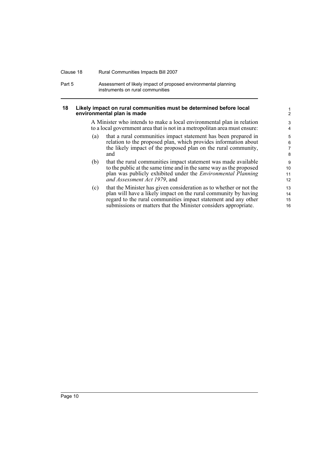#### Clause 18 Rural Communities Impacts Bill 2007

Part 5 **Assessment of likely impact of proposed environmental planning** instruments on rural communities

#### <span id="page-17-0"></span>**18 Likely impact on rural communities must be determined before local environmental plan is made**

A Minister who intends to make a local environmental plan in relation to a local government area that is not in a metropolitan area must ensure:

- (a) that a rural communities impact statement has been prepared in relation to the proposed plan, which provides information about the likely impact of the proposed plan on the rural community, and
- (b) that the rural communities impact statement was made available to the public at the same time and in the same way as the proposed plan was publicly exhibited under the *Environmental Planning and Assessment Act 1979*, and
- (c) that the Minister has given consideration as to whether or not the plan will have a likely impact on the rural community by having regard to the rural communities impact statement and any other submissions or matters that the Minister considers appropriate.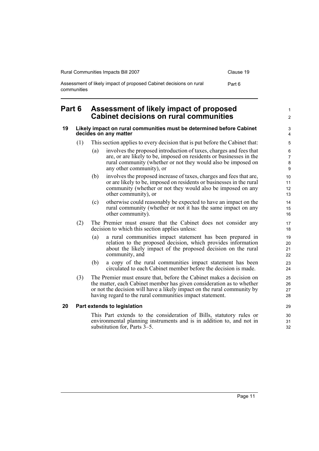| Rural Communities Impacts Bill 2007                                               | Clause 19 |
|-----------------------------------------------------------------------------------|-----------|
| Assessment of likely impact of proposed Cabinet decisions on rural<br>communities | Part 6    |

# <span id="page-18-0"></span>**Part 6 Assessment of likely impact of proposed Cabinet decisions on rural communities**

#### <span id="page-18-1"></span>**19 Likely impact on rural communities must be determined before Cabinet decides on any matter**

- (1) This section applies to every decision that is put before the Cabinet that:
	- (a) involves the proposed introduction of taxes, charges and fees that are, or are likely to be, imposed on residents or businesses in the rural community (whether or not they would also be imposed on any other community), or
	- (b) involves the proposed increase of taxes, charges and fees that are, or are likely to be, imposed on residents or businesses in the rural community (whether or not they would also be imposed on any other community), or
	- (c) otherwise could reasonably be expected to have an impact on the rural community (whether or not it has the same impact on any other community).
- (2) The Premier must ensure that the Cabinet does not consider any decision to which this section applies unless:
	- (a) a rural communities impact statement has been prepared in relation to the proposed decision, which provides information about the likely impact of the proposed decision on the rural community, and
	- (b) a copy of the rural communities impact statement has been circulated to each Cabinet member before the decision is made.
- (3) The Premier must ensure that, before the Cabinet makes a decision on the matter, each Cabinet member has given consideration as to whether or not the decision will have a likely impact on the rural community by having regard to the rural communities impact statement.

#### <span id="page-18-2"></span>**20 Part extends to legislation**

This Part extends to the consideration of Bills, statutory rules or environmental planning instruments and is in addition to, and not in substitution for, Parts 3–5.

1  $\mathfrak{p}$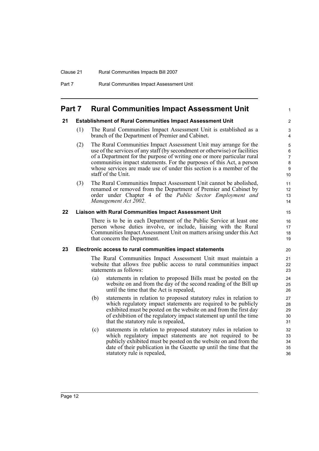## <span id="page-19-0"></span>**Part 7 Rural Communities Impact Assessment Unit**

#### <span id="page-19-1"></span>**21 Establishment of Rural Communities Impact Assessment Unit**

(1) The Rural Communities Impact Assessment Unit is established as a branch of the Department of Premier and Cabinet.

1

- (2) The Rural Communities Impact Assessment Unit may arrange for the use of the services of any staff (by secondment or otherwise) or facilities of a Department for the purpose of writing one or more particular rural communities impact statements. For the purposes of this Act, a person whose services are made use of under this section is a member of the staff of the Unit.
- (3) The Rural Communities Impact Assessment Unit cannot be abolished, renamed or removed from the Department of Premier and Cabinet by order under Chapter 4 of the *Public Sector Employment and Management Act 2002*.

#### <span id="page-19-2"></span>**22 Liaison with Rural Communities Impact Assessment Unit**

There is to be in each Department of the Public Service at least one person whose duties involve, or include, liaising with the Rural Communities Impact Assessment Unit on matters arising under this Act that concern the Department.

#### <span id="page-19-3"></span>**23 Electronic access to rural communities impact statements**

The Rural Communities Impact Assessment Unit must maintain a website that allows free public access to rural communities impact statements as follows:

- (a) statements in relation to proposed Bills must be posted on the website on and from the day of the second reading of the Bill up until the time that the Act is repealed,
- (b) statements in relation to proposed statutory rules in relation to which regulatory impact statements are required to be publicly exhibited must be posted on the website on and from the first day of exhibition of the regulatory impact statement up until the time that the statutory rule is repealed,
- (c) statements in relation to proposed statutory rules in relation to which regulatory impact statements are not required to be publicly exhibited must be posted on the website on and from the date of their publication in the Gazette up until the time that the statutory rule is repealed,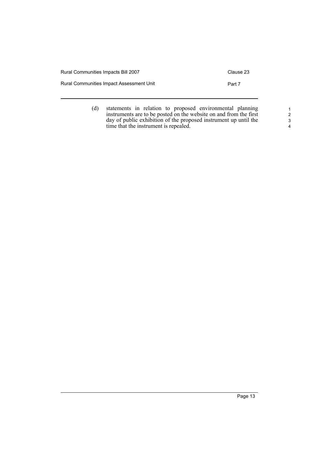| Rural Communities Impacts Bill 2007      | Clause 23 |
|------------------------------------------|-----------|
| Rural Communities Impact Assessment Unit | Part 7    |
|                                          |           |

(d) statements in relation to proposed environmental planning instruments are to be posted on the website on and from the first day of public exhibition of the proposed instrument up until the time that the instrument is repealed.